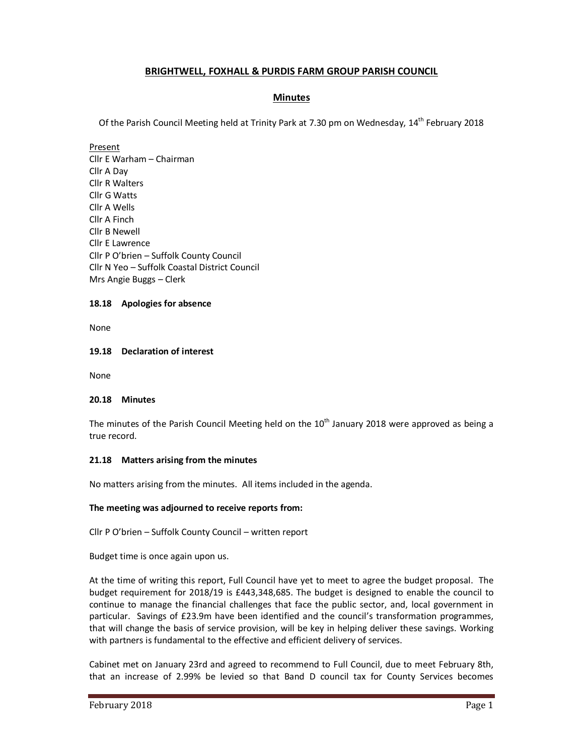# **BRIGHTWELL, FOXHALL & PURDIS FARM GROUP PARISH COUNCIL**

## **Minutes**

Of the Parish Council Meeting held at Trinity Park at 7.30 pm on Wednesday, 14<sup>th</sup> February 2018

Present

Cllr E Warham – Chairman Cllr A Day Cllr R Walters Cllr G Watts Cllr A Wells Cllr A Finch Cllr B Newell Cllr E Lawrence Cllr P O'brien – Suffolk County Council Cllr N Yeo – Suffolk Coastal District Council Mrs Angie Buggs – Clerk

## **18.18 Apologies for absence**

None

## **19.18 Declaration of interest**

None

### **20.18 Minutes**

The minutes of the Parish Council Meeting held on the  $10<sup>th</sup>$  January 2018 were approved as being a true record.

### **21.18 Matters arising from the minutes**

No matters arising from the minutes. All items included in the agenda.

## **The meeting was adjourned to receive reports from:**

Cllr P O'brien – Suffolk County Council – written report

Budget time is once again upon us.

At the time of writing this report, Full Council have yet to meet to agree the budget proposal. The budget requirement for 2018/19 is £443,348,685. The budget is designed to enable the council to continue to manage the financial challenges that face the public sector, and, local government in particular. Savings of £23.9m have been identified and the council's transformation programmes, that will change the basis of service provision, will be key in helping deliver these savings. Working with partners is fundamental to the effective and efficient delivery of services.

Cabinet met on January 23rd and agreed to recommend to Full Council, due to meet February 8th, that an increase of 2.99% be levied so that Band D council tax for County Services becomes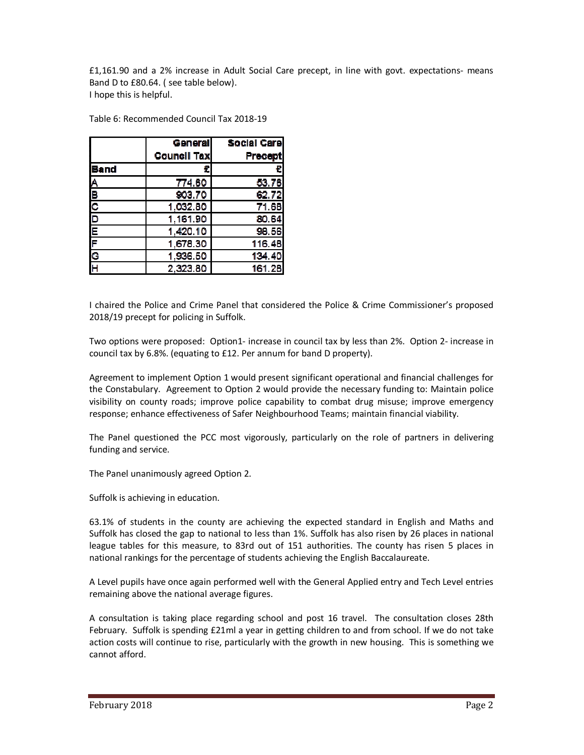£1,161.90 and a 2% increase in Adult Social Care precept, in line with govt. expectations- means Band D to £80.64. ( see table below). I hope this is helpful.

|                                     | <b>General</b>     | <b>Social Care</b> |
|-------------------------------------|--------------------|--------------------|
|                                     | <b>Council Tax</b> | <b>Precept</b>     |
| <b>Band</b>                         |                    | €                  |
|                                     | 774 60             | 5376               |
|                                     | 903.70             | 6272               |
| $rac{B}{C}$                         | 1,032.80           | 71.68              |
| $\frac{\overline{D}}{\overline{E}}$ | 1,161.90           | 80 64              |
|                                     | 1,420.10           | 98.56              |
| F                                   | 1,678.30           | 116 48             |
| $\overline{\mathbf{c}}$             | 1,936.50           | 134 40             |
|                                     | 2,323.80           | 161.28             |

Table 6: Recommended Council Tax 2018-19

I chaired the Police and Crime Panel that considered the Police & Crime Commissioner's proposed 2018/19 precept for policing in Suffolk.

Two options were proposed: Option1- increase in council tax by less than 2%. Option 2- increase in council tax by 6.8%. (equating to £12. Per annum for band D property).

Agreement to implement Option 1 would present significant operational and financial challenges for the Constabulary. Agreement to Option 2 would provide the necessary funding to: Maintain police visibility on county roads; improve police capability to combat drug misuse; improve emergency response; enhance effectiveness of Safer Neighbourhood Teams; maintain financial viability.

The Panel questioned the PCC most vigorously, particularly on the role of partners in delivering funding and service.

The Panel unanimously agreed Option 2.

Suffolk is achieving in education.

63.1% of students in the county are achieving the expected standard in English and Maths and Suffolk has closed the gap to national to less than 1%. Suffolk has also risen by 26 places in national league tables for this measure, to 83rd out of 151 authorities. The county has risen 5 places in national rankings for the percentage of students achieving the English Baccalaureate.

A Level pupils have once again performed well with the General Applied entry and Tech Level entries remaining above the national average figures.

A consultation is taking place regarding school and post 16 travel. The consultation closes 28th February. Suffolk is spending £21ml a year in getting children to and from school. If we do not take action costs will continue to rise, particularly with the growth in new housing. This is something we cannot afford.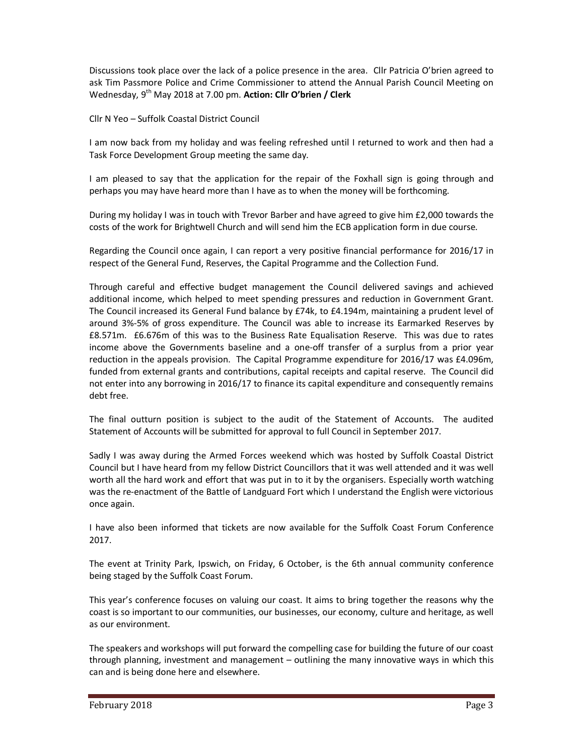Discussions took place over the lack of a police presence in the area. Cllr Patricia O'brien agreed to ask Tim Passmore Police and Crime Commissioner to attend the Annual Parish Council Meeting on Wednesday, 9<sup>th</sup> May 2018 at 7.00 pm. Action: Cllr O'brien / Clerk

Cllr N Yeo – Suffolk Coastal District Council

I am now back from my holiday and was feeling refreshed until I returned to work and then had a Task Force Development Group meeting the same day.

I am pleased to say that the application for the repair of the Foxhall sign is going through and perhaps you may have heard more than I have as to when the money will be forthcoming.

During my holiday I was in touch with Trevor Barber and have agreed to give him £2,000 towards the costs of the work for Brightwell Church and will send him the ECB application form in due course.

Regarding the Council once again, I can report a very positive financial performance for 2016/17 in respect of the General Fund, Reserves, the Capital Programme and the Collection Fund.

Through careful and effective budget management the Council delivered savings and achieved additional income, which helped to meet spending pressures and reduction in Government Grant. The Council increased its General Fund balance by £74k, to £4.194m, maintaining a prudent level of around 3%-5% of gross expenditure. The Council was able to increase its Earmarked Reserves by £8.571m. £6.676m of this was to the Business Rate Equalisation Reserve. This was due to rates income above the Governments baseline and a one-off transfer of a surplus from a prior year reduction in the appeals provision. The Capital Programme expenditure for 2016/17 was £4.096m, funded from external grants and contributions, capital receipts and capital reserve. The Council did not enter into any borrowing in 2016/17 to finance its capital expenditure and consequently remains debt free.

The final outturn position is subject to the audit of the Statement of Accounts. The audited Statement of Accounts will be submitted for approval to full Council in September 2017.

Sadly I was away during the Armed Forces weekend which was hosted by Suffolk Coastal District Council but I have heard from my fellow District Councillors that it was well attended and it was well worth all the hard work and effort that was put in to it by the organisers. Especially worth watching was the re-enactment of the Battle of Landguard Fort which I understand the English were victorious once again.

I have also been informed that tickets are now available for the Suffolk Coast Forum Conference 2017.

The event at Trinity Park, Ipswich, on Friday, 6 October, is the 6th annual community conference being staged by the Suffolk Coast Forum.

This year's conference focuses on valuing our coast. It aims to bring together the reasons why the coast is so important to our communities, our businesses, our economy, culture and heritage, as well as our environment.

The speakers and workshops will put forward the compelling case for building the future of our coast through planning, investment and management – outlining the many innovative ways in which this can and is being done here and elsewhere.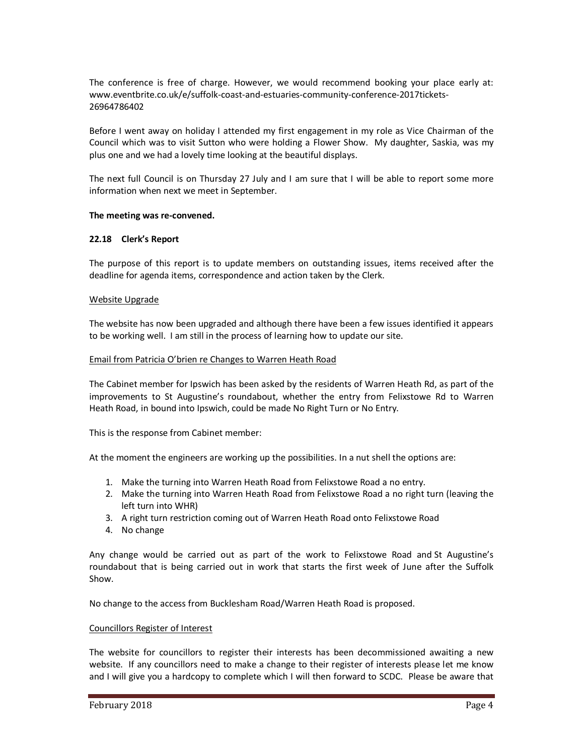The conference is free of charge. However, we would recommend booking your place early at: www.eventbrite.co.uk/e/suffolk-coast-and-estuaries-community-conference-2017tickets-26964786402

Before I went away on holiday I attended my first engagement in my role as Vice Chairman of the Council which was to visit Sutton who were holding a Flower Show. My daughter, Saskia, was my plus one and we had a lovely time looking at the beautiful displays.

The next full Council is on Thursday 27 July and I am sure that I will be able to report some more information when next we meet in September.

## **The meeting was re-convened.**

## **22.18 Clerk's Report**

The purpose of this report is to update members on outstanding issues, items received after the deadline for agenda items, correspondence and action taken by the Clerk.

### Website Upgrade

The website has now been upgraded and although there have been a few issues identified it appears to be working well. I am still in the process of learning how to update our site.

### Email from Patricia O'brien re Changes to Warren Heath Road

The Cabinet member for Ipswich has been asked by the residents of Warren Heath Rd, as part of the improvements to St Augustine's roundabout, whether the entry from Felixstowe Rd to Warren Heath Road, in bound into Ipswich, could be made No Right Turn or No Entry.

This is the response from Cabinet member:

At the moment the engineers are working up the possibilities. In a nut shell the options are:

- 1. Make the turning into Warren Heath Road from Felixstowe Road a no entry.
- 2. Make the turning into Warren Heath Road from Felixstowe Road a no right turn (leaving the left turn into WHR)
- 3. A right turn restriction coming out of Warren Heath Road onto Felixstowe Road
- 4. No change

Any change would be carried out as part of the work to Felixstowe Road and St Augustine's roundabout that is being carried out in work that starts the first week of June after the Suffolk Show.

No change to the access from Bucklesham Road/Warren Heath Road is proposed.

### Councillors Register of Interest

The website for councillors to register their interests has been decommissioned awaiting a new website. If any councillors need to make a change to their register of interests please let me know and I will give you a hardcopy to complete which I will then forward to SCDC. Please be aware that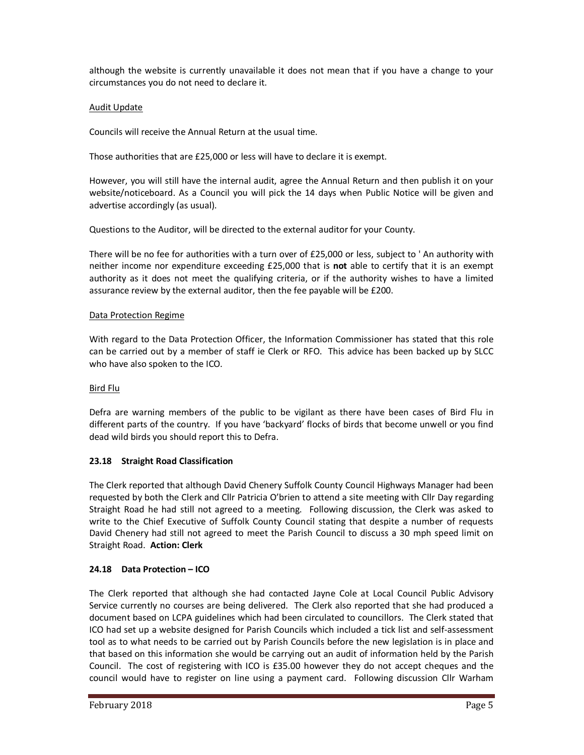although the website is currently unavailable it does not mean that if you have a change to your circumstances you do not need to declare it.

# Audit Update

Councils will receive the Annual Return at the usual time.

Those authorities that are £25,000 or less will have to declare it is exempt.

However, you will still have the internal audit, agree the Annual Return and then publish it on your website/noticeboard. As a Council you will pick the 14 days when Public Notice will be given and advertise accordingly (as usual).

Questions to the Auditor, will be directed to the external auditor for your County.

There will be no fee for authorities with a turn over of £25,000 or less, subject to ' An authority with neither income nor expenditure exceeding £25,000 that is **not** able to certify that it is an exempt authority as it does not meet the qualifying criteria, or if the authority wishes to have a limited assurance review by the external auditor, then the fee payable will be £200.

## Data Protection Regime

With regard to the Data Protection Officer, the Information Commissioner has stated that this role can be carried out by a member of staff ie Clerk or RFO. This advice has been backed up by SLCC who have also spoken to the ICO.

## Bird Flu

Defra are warning members of the public to be vigilant as there have been cases of Bird Flu in different parts of the country. If you have 'backyard' flocks of birds that become unwell or you find dead wild birds you should report this to Defra.

# **23.18 Straight Road Classification**

The Clerk reported that although David Chenery Suffolk County Council Highways Manager had been requested by both the Clerk and Cllr Patricia O'brien to attend a site meeting with Cllr Day regarding Straight Road he had still not agreed to a meeting. Following discussion, the Clerk was asked to write to the Chief Executive of Suffolk County Council stating that despite a number of requests David Chenery had still not agreed to meet the Parish Council to discuss a 30 mph speed limit on Straight Road. **Action: Clerk** 

## **24.18 Data Protection – ICO**

The Clerk reported that although she had contacted Jayne Cole at Local Council Public Advisory Service currently no courses are being delivered. The Clerk also reported that she had produced a document based on LCPA guidelines which had been circulated to councillors. The Clerk stated that ICO had set up a website designed for Parish Councils which included a tick list and self-assessment tool as to what needs to be carried out by Parish Councils before the new legislation is in place and that based on this information she would be carrying out an audit of information held by the Parish Council. The cost of registering with ICO is £35.00 however they do not accept cheques and the council would have to register on line using a payment card. Following discussion Cllr Warham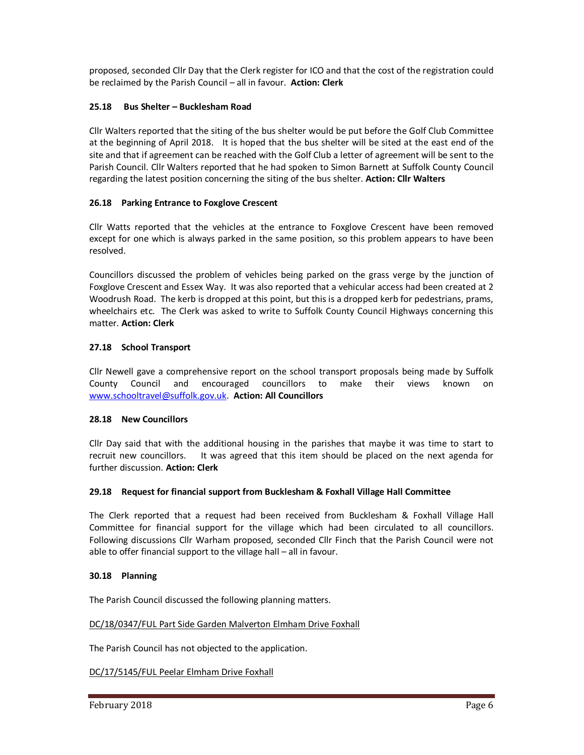proposed, seconded Cllr Day that the Clerk register for ICO and that the cost of the registration could be reclaimed by the Parish Council – all in favour. **Action: Clerk** 

## **25.18 Bus Shelter – Bucklesham Road**

Cllr Walters reported that the siting of the bus shelter would be put before the Golf Club Committee at the beginning of April 2018. It is hoped that the bus shelter will be sited at the east end of the site and that if agreement can be reached with the Golf Club a letter of agreement will be sent to the Parish Council. Cllr Walters reported that he had spoken to Simon Barnett at Suffolk County Council regarding the latest position concerning the siting of the bus shelter. **Action: Cllr Walters** 

## **26.18 Parking Entrance to Foxglove Crescent**

Cllr Watts reported that the vehicles at the entrance to Foxglove Crescent have been removed except for one which is always parked in the same position, so this problem appears to have been resolved.

Councillors discussed the problem of vehicles being parked on the grass verge by the junction of Foxglove Crescent and Essex Way. It was also reported that a vehicular access had been created at 2 Woodrush Road. The kerb is dropped at this point, but this is a dropped kerb for pedestrians, prams, wheelchairs etc. The Clerk was asked to write to Suffolk County Council Highways concerning this matter. **Action: Clerk** 

## **27.18 School Transport**

Cllr Newell gave a comprehensive report on the school transport proposals being made by Suffolk County Council and encouraged councillors to make their views known on www.schooltravel@suffolk.gov.uk. **Action: All Councillors** 

## **28.18 New Councillors**

Cllr Day said that with the additional housing in the parishes that maybe it was time to start to recruit new councillors. It was agreed that this item should be placed on the next agenda for further discussion. **Action: Clerk** 

## **29.18 Request for financial support from Bucklesham & Foxhall Village Hall Committee**

The Clerk reported that a request had been received from Bucklesham & Foxhall Village Hall Committee for financial support for the village which had been circulated to all councillors. Following discussions Cllr Warham proposed, seconded Cllr Finch that the Parish Council were not able to offer financial support to the village hall – all in favour.

### **30.18 Planning**

The Parish Council discussed the following planning matters.

### DC/18/0347/FUL Part Side Garden Malverton Elmham Drive Foxhall

The Parish Council has not objected to the application.

DC/17/5145/FUL Peelar Elmham Drive Foxhall